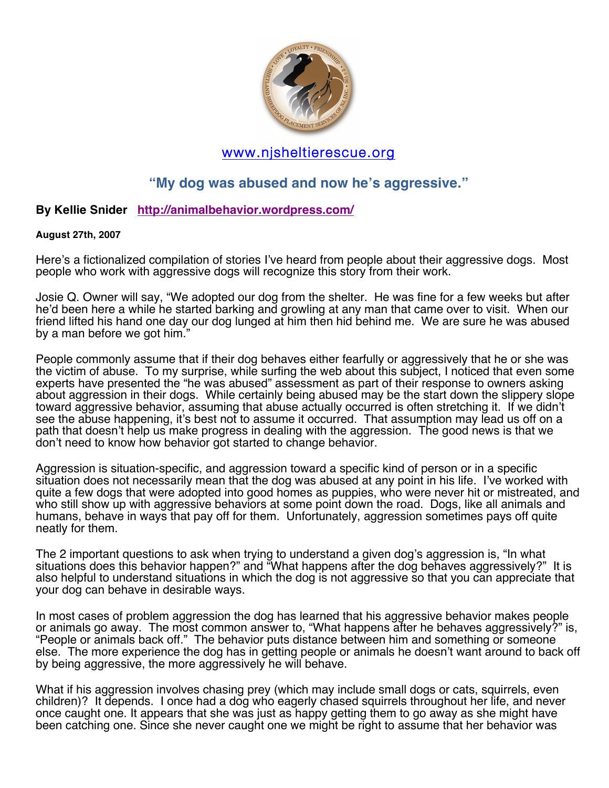

# www.njsheltierescue.org

## **"My dog was abused and now he's aggressive."**

### **By Kellie Snider http://animalbehavior.wordpress.com/**

#### **August 27th, 2007**

Here's a fictionalized compilation of stories I've heard from people about their aggressive dogs. Most people who work with aggressive dogs will recognize this story from their work.

Josie Q. Owner will say, "We adopted our dog from the shelter. He was fine for a few weeks but after he'd been here a while he started barking and growling at any man that came over to visit. When our friend lifted his hand one day our dog lunged at him then hid behind me. We are sure he was abused by a man before we got him."

People commonly assume that if their dog behaves either fearfully or aggressively that he or she was the victim of abuse. To my surprise, while surfing the web about this subject, I noticed that even some experts have presented the "he was abused" assessment as part of their response to owners asking about aggression in their dogs. While certainly being abused may be the start down the slippery slope toward aggressive behavior, assuming that abuse actually occurred is often stretching it. If we didn't see the abuse happening, it's best not to assume it occurred. That assumption may lead us off on a path that doesn't help us make progress in dealing with the aggression. The good news is that we don't need to know how behavior got started to change behavior.

Aggression is situation-specific, and aggression toward a specific kind of person or in a specific situation does not necessarily mean that the dog was abused at any point in his life. I've worked with quite a few dogs that were adopted into good homes as puppies, who were never hit or mistreated, and who still show up with aggressive behaviors at some point down the road. Dogs, like all animals and humans, behave in ways that pay off for them. Unfortunately, aggression sometimes pays off quite neatly for them.

The 2 important questions to ask when trying to understand a given dog's aggression is, "In what situations does this behavior happen?" and "What happens after the dog behaves aggressively?" It is also helpful to understand situations in which the dog is not aggressive so that you can appreciate that your dog can behave in desirable ways.

In most cases of problem aggression the dog has learned that his aggressive behavior makes people or animals go away. The most common answer to, "What happens after he behaves aggressively?" is, "People or animals back off." The behavior puts distance between him and something or someone else. The more experience the dog has in getting people or animals he doesn't want around to back off by being aggressive, the more aggressively he will behave.

What if his aggression involves chasing prey (which may include small dogs or cats, squirrels, even children)? It depends. I once had a dog who eagerly chased squirrels throughout her life, and never once caught one. It appears that she was just as happy getting them to go away as she might have been catching one. Since she never caught one we might be right to assume that her behavior was